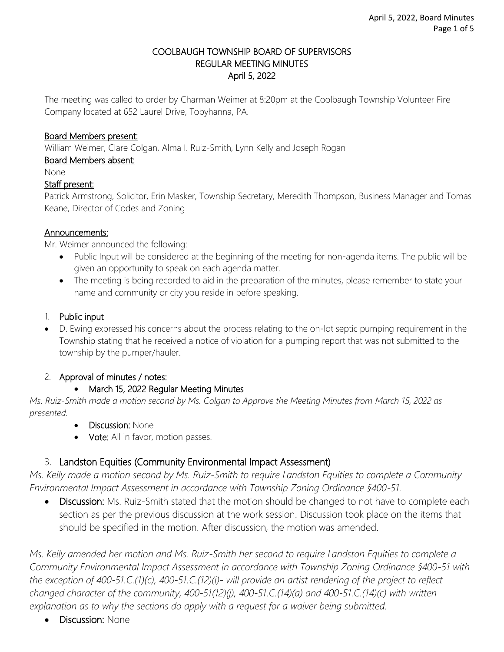#### COOLBAUGH TOWNSHIP BOARD OF SUPERVISORS REGULAR MEETING MINUTES April 5, 2022

The meeting was called to order by Charman Weimer at 8:20pm at the Coolbaugh Township Volunteer Fire Company located at 652 Laurel Drive, Tobyhanna, PA.

#### Board Members present:

William Weimer, Clare Colgan, Alma I. Ruiz-Smith, Lynn Kelly and Joseph Rogan

#### Board Members absent:

None

#### Staff present:

Patrick Armstrong, Solicitor, Erin Masker, Township Secretary, Meredith Thompson, Business Manager and Tomas Keane, Director of Codes and Zoning

#### Announcements:

Mr. Weimer announced the following:

- Public Input will be considered at the beginning of the meeting for non-agenda items. The public will be given an opportunity to speak on each agenda matter.
- The meeting is being recorded to aid in the preparation of the minutes, please remember to state your name and community or city you reside in before speaking.

#### 1. Public input

• D. Ewing expressed his concerns about the process relating to the on-lot septic pumping requirement in the Township stating that he received a notice of violation for a pumping report that was not submitted to the township by the pumper/hauler.

## 2. Approval of minutes / notes:

## • March 15, 2022 Regular Meeting Minutes

*Ms. Ruiz-Smith made a motion second by Ms. Colgan to Approve the Meeting Minutes from March 15, 2022 as presented.* 

- **Discussion: None**
- Vote: All in favor, motion passes.

## 3. Landston Equities (Community Environmental Impact Assessment)

*Ms. Kelly made a motion second by Ms. Ruiz-Smith to require Landston Equities to complete a Community Environmental Impact Assessment in accordance with Township Zoning Ordinance §400-51.*

• Discussion: Ms. Ruiz-Smith stated that the motion should be changed to not have to complete each section as per the previous discussion at the work session. Discussion took place on the items that should be specified in the motion. After discussion, the motion was amended.

*Ms. Kelly amended her motion and Ms. Ruiz-Smith her second to require Landston Equities to complete a Community Environmental Impact Assessment in accordance with Township Zoning Ordinance §400-51 with the exception of 400-51.C.(1)(c), 400-51.C.(12)(i)- will provide an artist rendering of the project to reflect changed character of the community, 400-51(12)(j), 400-51.C.(14)(a) and 400-51.C.(14)(c) with written explanation as to why the sections do apply with a request for a waiver being submitted.* 

• Discussion: None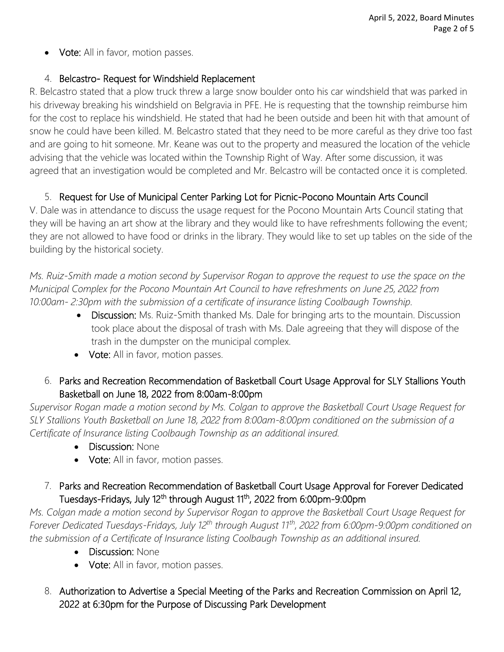• Vote: All in favor, motion passes.

## 4. Belcastro- Request for Windshield Replacement

R. Belcastro stated that a plow truck threw a large snow boulder onto his car windshield that was parked in his driveway breaking his windshield on Belgravia in PFE. He is requesting that the township reimburse him for the cost to replace his windshield. He stated that had he been outside and been hit with that amount of snow he could have been killed. M. Belcastro stated that they need to be more careful as they drive too fast and are going to hit someone. Mr. Keane was out to the property and measured the location of the vehicle advising that the vehicle was located within the Township Right of Way. After some discussion, it was agreed that an investigation would be completed and Mr. Belcastro will be contacted once it is completed.

# 5. Request for Use of Municipal Center Parking Lot for Picnic-Pocono Mountain Arts Council

V. Dale was in attendance to discuss the usage request for the Pocono Mountain Arts Council stating that they will be having an art show at the library and they would like to have refreshments following the event; they are not allowed to have food or drinks in the library. They would like to set up tables on the side of the building by the historical society.

*Ms. Ruiz-Smith made a motion second by Supervisor Rogan to approve the request to use the space on the Municipal Complex for the Pocono Mountain Art Council to have refreshments on June 25, 2022 from 10:00am- 2:30pm with the submission of a certificate of insurance listing Coolbaugh Township.*

- Discussion: Ms. Ruiz-Smith thanked Ms. Dale for bringing arts to the mountain. Discussion took place about the disposal of trash with Ms. Dale agreeing that they will dispose of the trash in the dumpster on the municipal complex.
- Vote: All in favor, motion passes.
- 6. Parks and Recreation Recommendation of Basketball Court Usage Approval for SLY Stallions Youth Basketball on June 18, 2022 from 8:00am-8:00pm

*Supervisor Rogan made a motion second by Ms. Colgan to approve the Basketball Court Usage Request for SLY Stallions Youth Basketball on June 18, 2022 from 8:00am-8:00pm conditioned on the submission of a Certificate of Insurance listing Coolbaugh Township as an additional insured.* 

- Discussion: None
- Vote: All in favor, motion passes.

## 7. Parks and Recreation Recommendation of Basketball Court Usage Approval for Forever Dedicated Tuesdays-Fridays, July 12<sup>th</sup> through August 11<sup>th</sup>, 2022 from 6:00pm-9:00pm

*Ms. Colgan made a motion second by Supervisor Rogan to approve the Basketball Court Usage Request for Forever Dedicated Tuesdays-Fridays, July 12th through August 11th, 2022 from 6:00pm-9:00pm conditioned on the submission of a Certificate of Insurance listing Coolbaugh Township as an additional insured.* 

- Discussion: None
- Vote: All in favor, motion passes.
- 8. Authorization to Advertise a Special Meeting of the Parks and Recreation Commission on April 12, 2022 at 6:30pm for the Purpose of Discussing Park Development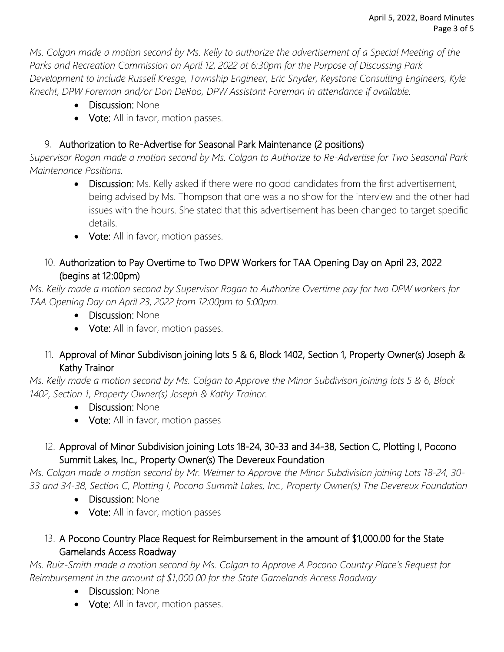*Ms. Colgan made a motion second by Ms. Kelly to authorize the advertisement of a Special Meeting of the Parks and Recreation Commission on April 12, 2022 at 6:30pm for the Purpose of Discussing Park Development to include Russell Kresge, Township Engineer, Eric Snyder, Keystone Consulting Engineers, Kyle Knecht, DPW Foreman and/or Don DeRoo, DPW Assistant Foreman in attendance if available.* 

- Discussion: None
- Vote: All in favor, motion passes.

# 9. Authorization to Re-Advertise for Seasonal Park Maintenance (2 positions)

*Supervisor Rogan made a motion second by Ms. Colgan to Authorize to Re-Advertise for Two Seasonal Park Maintenance Positions.* 

- Discussion: Ms. Kelly asked if there were no good candidates from the first advertisement, being advised by Ms. Thompson that one was a no show for the interview and the other had issues with the hours. She stated that this advertisement has been changed to target specific details.
- Vote: All in favor, motion passes.

# 10. Authorization to Pay Overtime to Two DPW Workers for TAA Opening Day on April 23, 2022 (begins at 12:00pm)

*Ms. Kelly made a motion second by Supervisor Rogan to Authorize Overtime pay for two DPW workers for TAA Opening Day on April 23, 2022 from 12:00pm to 5:00pm.* 

- Discussion: None
- Vote: All in favor, motion passes.

# 11. Approval of Minor Subdivison joining lots 5 & 6, Block 1402, Section 1, Property Owner(s) Joseph & Kathy Trainor

*Ms. Kelly made a motion second by Ms. Colgan to Approve the Minor Subdivison joining lots 5 & 6, Block 1402, Section 1, Property Owner(s) Joseph & Kathy Trainor.*

- Discussion: None
- Vote: All in favor, motion passes

# 12. Approval of Minor Subdivision joining Lots 18-24, 30-33 and 34-38, Section C, Plotting I, Pocono Summit Lakes, Inc., Property Owner(s) The Devereux Foundation

*Ms. Colgan made a motion second by Mr. Weimer to Approve the Minor Subdivision joining Lots 18-24, 30- 33 and 34-38, Section C, Plotting I, Pocono Summit Lakes, Inc., Property Owner(s) The Devereux Foundation*

- Discussion: None
- Vote: All in favor, motion passes

# 13. A Pocono Country Place Request for Reimbursement in the amount of \$1,000.00 for the State Gamelands Access Roadway

*Ms. Ruiz-Smith made a motion second by Ms. Colgan to Approve A Pocono Country Place's Request for Reimbursement in the amount of \$1,000.00 for the State Gamelands Access Roadway*

- Discussion: None
- Vote: All in favor, motion passes.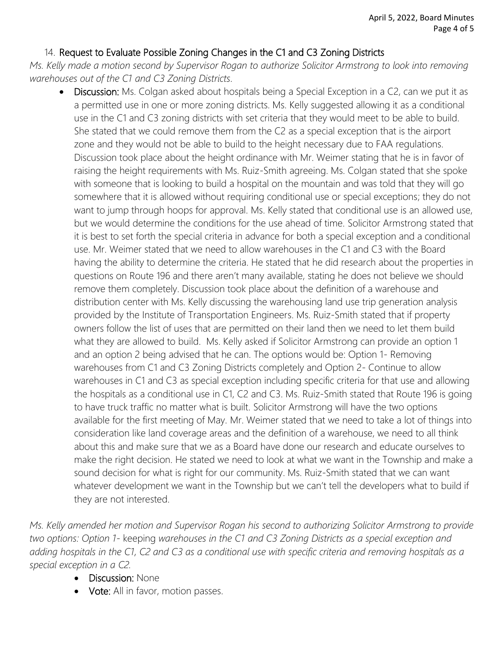## 14. Request to Evaluate Possible Zoning Changes in the C1 and C3 Zoning Districts

*Ms. Kelly made a motion second by Supervisor Rogan to authorize Solicitor Armstrong to look into removing warehouses out of the C1 and C3 Zoning Districts.*

**Discussion:** Ms. Colgan asked about hospitals being a Special Exception in a C2, can we put it as a permitted use in one or more zoning districts. Ms. Kelly suggested allowing it as a conditional use in the C1 and C3 zoning districts with set criteria that they would meet to be able to build. She stated that we could remove them from the C2 as a special exception that is the airport zone and they would not be able to build to the height necessary due to FAA regulations. Discussion took place about the height ordinance with Mr. Weimer stating that he is in favor of raising the height requirements with Ms. Ruiz-Smith agreeing. Ms. Colgan stated that she spoke with someone that is looking to build a hospital on the mountain and was told that they will go somewhere that it is allowed without requiring conditional use or special exceptions; they do not want to jump through hoops for approval. Ms. Kelly stated that conditional use is an allowed use, but we would determine the conditions for the use ahead of time. Solicitor Armstrong stated that it is best to set forth the special criteria in advance for both a special exception and a conditional use. Mr. Weimer stated that we need to allow warehouses in the C1 and C3 with the Board having the ability to determine the criteria. He stated that he did research about the properties in questions on Route 196 and there aren't many available, stating he does not believe we should remove them completely. Discussion took place about the definition of a warehouse and distribution center with Ms. Kelly discussing the warehousing land use trip generation analysis provided by the Institute of Transportation Engineers. Ms. Ruiz-Smith stated that if property owners follow the list of uses that are permitted on their land then we need to let them build what they are allowed to build. Ms. Kelly asked if Solicitor Armstrong can provide an option 1 and an option 2 being advised that he can. The options would be: Option 1- Removing warehouses from C1 and C3 Zoning Districts completely and Option 2- Continue to allow warehouses in C1 and C3 as special exception including specific criteria for that use and allowing the hospitals as a conditional use in C1, C2 and C3. Ms. Ruiz-Smith stated that Route 196 is going to have truck traffic no matter what is built. Solicitor Armstrong will have the two options available for the first meeting of May. Mr. Weimer stated that we need to take a lot of things into consideration like land coverage areas and the definition of a warehouse, we need to all think about this and make sure that we as a Board have done our research and educate ourselves to make the right decision. He stated we need to look at what we want in the Township and make a sound decision for what is right for our community. Ms. Ruiz-Smith stated that we can want whatever development we want in the Township but we can't tell the developers what to build if they are not interested.

*Ms. Kelly amended her motion and Supervisor Rogan his second to authorizing Solicitor Armstrong to provide two options: Option 1-* keeping *warehouses in the C1 and C3 Zoning Districts as a special exception and adding hospitals in the C1, C2 and C3 as a conditional use with specific criteria and removing hospitals as a special exception in a C2.*

- **Discussion: None**
- Vote: All in favor, motion passes.